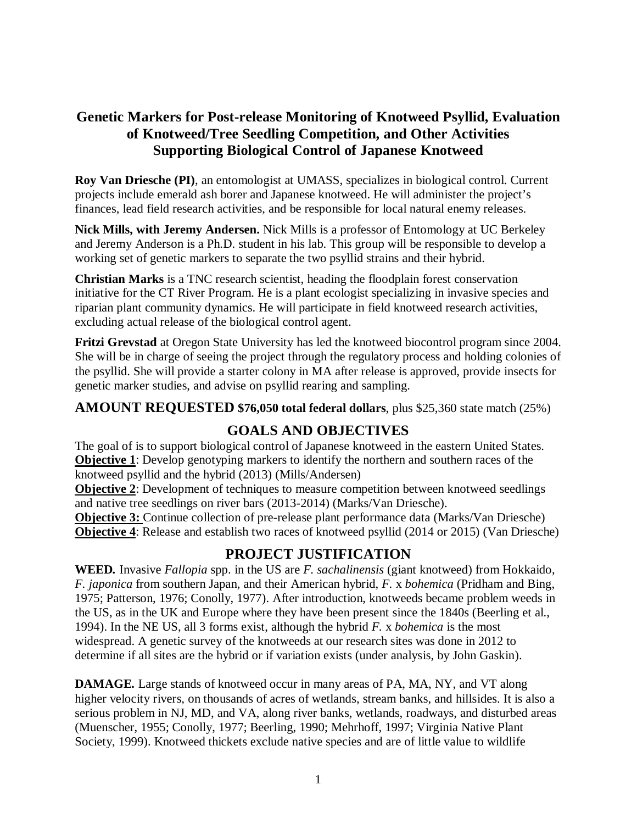# **Genetic Markers for Post-release Monitoring of Knotweed Psyllid, Evaluation of Knotweed/Tree Seedling Competition, and Other Activities Supporting Biological Control of Japanese Knotweed**

**Roy Van Driesche (PI)**, an entomologist at UMASS, specializes in biological control. Current projects include emerald ash borer and Japanese knotweed. He will administer the project's finances, lead field research activities, and be responsible for local natural enemy releases.

**Nick Mills, with Jeremy Andersen.** Nick Mills is a professor of Entomology at UC Berkeley and Jeremy Anderson is a Ph.D. student in his lab. This group will be responsible to develop a working set of genetic markers to separate the two psyllid strains and their hybrid.

**Christian Marks** is a TNC research scientist, heading the floodplain forest conservation initiative for the CT River Program. He is a plant ecologist specializing in invasive species and riparian plant community dynamics. He will participate in field knotweed research activities, excluding actual release of the biological control agent.

**Fritzi Grevstad** at Oregon State University has led the knotweed biocontrol program since 2004. She will be in charge of seeing the project through the regulatory process and holding colonies of the psyllid. She will provide a starter colony in MA after release is approved, provide insects for genetic marker studies, and advise on psyllid rearing and sampling.

**AMOUNT REQUESTED \$76,050 total federal dollars**, plus \$25,360 state match (25%)

# **GOALS AND OBJECTIVES**

The goal of is to support biological control of Japanese knotweed in the eastern United States. **Objective 1**: Develop genotyping markers to identify the northern and southern races of the knotweed psyllid and the hybrid (2013) (Mills/Andersen)

**Objective 2:** Development of techniques to measure competition between knotweed seedlings and native tree seedlings on river bars (2013-2014) (Marks/Van Driesche).

**Objective 3:** Continue collection of pre-release plant performance data (Marks/Van Driesche) **Objective 4**: Release and establish two races of knotweed psyllid (2014 or 2015) (Van Driesche)

# **PROJECT JUSTIFICATION**

**WEED***.* Invasive *Fallopia* spp. in the US are *F. sachalinensis* (giant knotweed) from Hokkaido, *F. japonica* from southern Japan, and their American hybrid, *F.* x *bohemica* (Pridham and Bing, 1975; Patterson, 1976; Conolly, 1977). After introduction, knotweeds became problem weeds in the US, as in the UK and Europe where they have been present since the 1840s (Beerling et al., 1994). In the NE US, all 3 forms exist, although the hybrid *F.* x *bohemica* is the most widespread. A genetic survey of the knotweeds at our research sites was done in 2012 to determine if all sites are the hybrid or if variation exists (under analysis, by John Gaskin).

**DAMAGE***.* Large stands of knotweed occur in many areas of PA, MA, NY, and VT along higher velocity rivers, on thousands of acres of wetlands, stream banks, and hillsides. It is also a serious problem in NJ, MD, and VA, along river banks, wetlands, roadways, and disturbed areas (Muenscher, 1955; Conolly, 1977; Beerling, 1990; Mehrhoff, 1997; Virginia Native Plant Society, 1999). Knotweed thickets exclude native species and are of little value to wildlife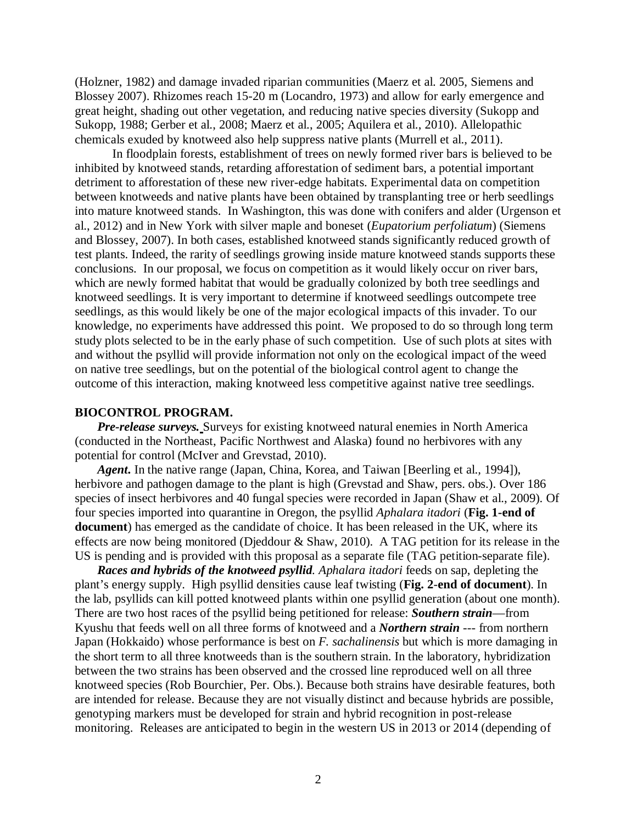(Holzner, 1982) and damage invaded riparian communities (Maerz et al. 2005, Siemens and Blossey 2007). Rhizomes reach 15-20 m (Locandro, 1973) and allow for early emergence and great height, shading out other vegetation, and reducing native species diversity (Sukopp and Sukopp, 1988; Gerber et al., 2008; Maerz et al., 2005; Aquilera et al., 2010). Allelopathic chemicals exuded by knotweed also help suppress native plants (Murrell et al., 2011).

In floodplain forests, establishment of trees on newly formed river bars is believed to be inhibited by knotweed stands, retarding afforestation of sediment bars, a potential important detriment to afforestation of these new river-edge habitats. Experimental data on competition between knotweeds and native plants have been obtained by transplanting tree or herb seedlings into mature knotweed stands. In Washington, this was done with conifers and alder (Urgenson et al., 2012) and in New York with silver maple and boneset (*Eupatorium perfoliatum*) (Siemens and Blossey, 2007). In both cases, established knotweed stands significantly reduced growth of test plants. Indeed, the rarity of seedlings growing inside mature knotweed stands supports these conclusions. In our proposal, we focus on competition as it would likely occur on river bars, which are newly formed habitat that would be gradually colonized by both tree seedlings and knotweed seedlings. It is very important to determine if knotweed seedlings outcompete tree seedlings, as this would likely be one of the major ecological impacts of this invader. To our knowledge, no experiments have addressed this point. We proposed to do so through long term study plots selected to be in the early phase of such competition. Use of such plots at sites with and without the psyllid will provide information not only on the ecological impact of the weed on native tree seedlings, but on the potential of the biological control agent to change the outcome of this interaction, making knotweed less competitive against native tree seedlings.

#### **BIOCONTROL PROGRAM.**

*Pre-release surveys.* Surveys for existing knotweed natural enemies in North America (conducted in the Northeast, Pacific Northwest and Alaska) found no herbivores with any potential for control (McIver and Grevstad, 2010).

*Agent***.** In the native range (Japan, China, Korea, and Taiwan [Beerling et al.*,* 1994]), herbivore and pathogen damage to the plant is high (Grevstad and Shaw, pers. obs.). Over 186 species of insect herbivores and 40 fungal species were recorded in Japan (Shaw et al., 2009). Of four species imported into quarantine in Oregon, the psyllid *Aphalara itadori* (**Fig. 1-end of**  document) has emerged as the candidate of choice. It has been released in the UK, where its effects are now being monitored (Djeddour & Shaw, 2010). A TAG petition for its release in the US is pending and is provided with this proposal as a separate file (TAG petition-separate file).

*Races and hybrids of the knotweed psyllid. Aphalara itadori* feeds on sap, depleting the plant's energy supply. High psyllid densities cause leaf twisting (**Fig. 2**-**end of document**). In the lab, psyllids can kill potted knotweed plants within one psyllid generation (about one month). There are two host races of the psyllid being petitioned for release: *Southern strain*—from Kyushu that feeds well on all three forms of knotweed and a *Northern strain* --- from northern Japan (Hokkaido) whose performance is best on *F. sachalinensis* but which is more damaging in the short term to all three knotweeds than is the southern strain. In the laboratory, hybridization between the two strains has been observed and the crossed line reproduced well on all three knotweed species (Rob Bourchier, Per. Obs.). Because both strains have desirable features, both are intended for release. Because they are not visually distinct and because hybrids are possible, genotyping markers must be developed for strain and hybrid recognition in post-release monitoring. Releases are anticipated to begin in the western US in 2013 or 2014 (depending of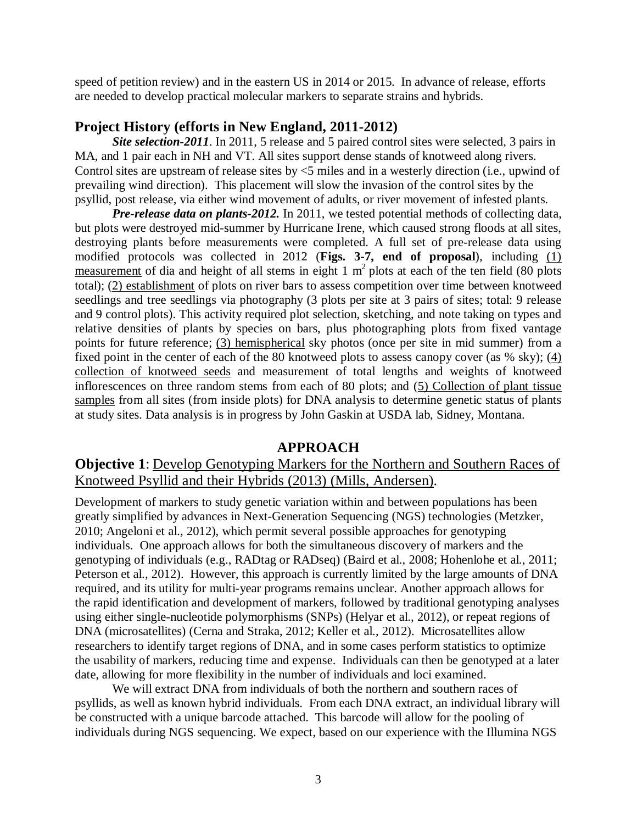speed of petition review) and in the eastern US in 2014 or 2015. In advance of release, efforts are needed to develop practical molecular markers to separate strains and hybrids.

## **Project History (efforts in New England, 2011-2012)**

*Site selection-2011*. In 2011, 5 release and 5 paired control sites were selected, 3 pairs in MA, and 1 pair each in NH and VT. All sites support dense stands of knotweed along rivers. Control sites are upstream of release sites by <5 miles and in a westerly direction (i.e., upwind of prevailing wind direction). This placement will slow the invasion of the control sites by the psyllid, post release, via either wind movement of adults, or river movement of infested plants.

*Pre-release data on plants-2012.* In 2011, we tested potential methods of collecting data, but plots were destroyed mid-summer by Hurricane Irene, which caused strong floods at all sites, destroying plants before measurements were completed. A full set of pre-release data using modified protocols was collected in 2012 (**Figs. 3-7, end of proposal**), including (1) measurement of dia and height of all stems in eight  $1 \text{ m}^2$  plots at each of the ten field (80 plots total); (2) establishment of plots on river bars to assess competition over time between knotweed seedlings and tree seedlings via photography (3 plots per site at 3 pairs of sites; total: 9 release and 9 control plots). This activity required plot selection, sketching, and note taking on types and relative densities of plants by species on bars, plus photographing plots from fixed vantage points for future reference; (3) hemispherical sky photos (once per site in mid summer) from a fixed point in the center of each of the 80 knotweed plots to assess canopy cover (as % sky); (4) collection of knotweed seeds and measurement of total lengths and weights of knotweed inflorescences on three random stems from each of 80 plots; and (5) Collection of plant tissue samples from all sites (from inside plots) for DNA analysis to determine genetic status of plants at study sites. Data analysis is in progress by John Gaskin at USDA lab, Sidney, Montana.

## **APPROACH**

## **Objective 1**: Develop Genotyping Markers for the Northern and Southern Races of Knotweed Psyllid and their Hybrids (2013) (Mills, Andersen).

Development of markers to study genetic variation within and between populations has been greatly simplified by advances in Next-Generation Sequencing (NGS) technologies (Metzker, 2010; Angeloni et al., 2012), which permit several possible approaches for genotyping individuals. One approach allows for both the simultaneous discovery of markers and the genotyping of individuals (e.g., RADtag or RADseq) (Baird et al., 2008; Hohenlohe et al., 2011; Peterson et al., 2012). However, this approach is currently limited by the large amounts of DNA required, and its utility for multi-year programs remains unclear. Another approach allows for the rapid identification and development of markers, followed by traditional genotyping analyses using either single-nucleotide polymorphisms (SNPs) (Helyar et al., 2012), or repeat regions of DNA (microsatellites) (Cerna and Straka, 2012; Keller et al., 2012). Microsatellites allow researchers to identify target regions of DNA, and in some cases perform statistics to optimize the usability of markers, reducing time and expense. Individuals can then be genotyped at a later date, allowing for more flexibility in the number of individuals and loci examined.

We will extract DNA from individuals of both the northern and southern races of psyllids, as well as known hybrid individuals. From each DNA extract, an individual library will be constructed with a unique barcode attached. This barcode will allow for the pooling of individuals during NGS sequencing. We expect, based on our experience with the Illumina NGS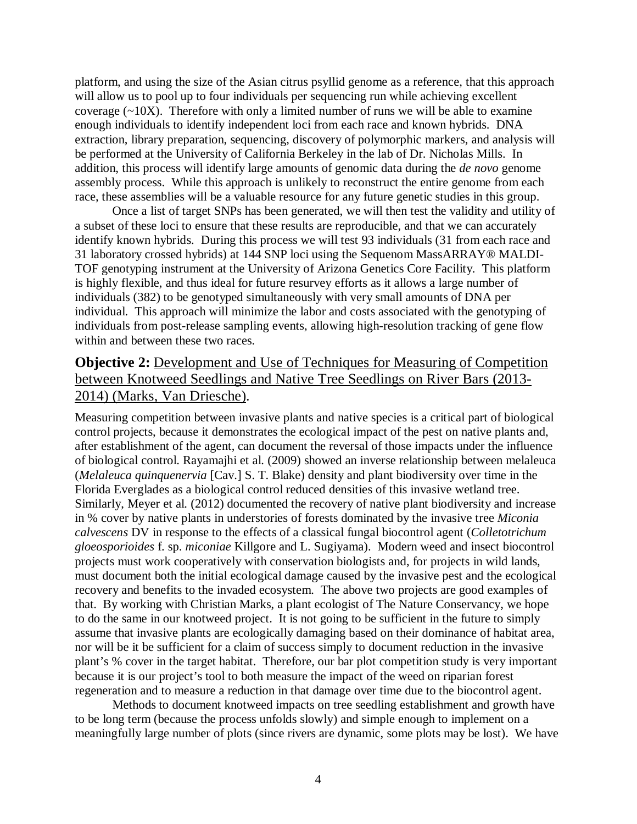platform, and using the size of the Asian citrus psyllid genome as a reference, that this approach will allow us to pool up to four individuals per sequencing run while achieving excellent coverage  $(\sim 10X)$ . Therefore with only a limited number of runs we will be able to examine enough individuals to identify independent loci from each race and known hybrids. DNA extraction, library preparation, sequencing, discovery of polymorphic markers, and analysis will be performed at the University of California Berkeley in the lab of Dr. Nicholas Mills. In addition, this process will identify large amounts of genomic data during the *de novo* genome assembly process. While this approach is unlikely to reconstruct the entire genome from each race, these assemblies will be a valuable resource for any future genetic studies in this group.

Once a list of target SNPs has been generated, we will then test the validity and utility of a subset of these loci to ensure that these results are reproducible, and that we can accurately identify known hybrids. During this process we will test 93 individuals (31 from each race and 31 laboratory crossed hybrids) at 144 SNP loci using the Sequenom MassARRAY® MALDI-TOF genotyping instrument at the University of Arizona Genetics Core Facility. This platform is highly flexible, and thus ideal for future resurvey efforts as it allows a large number of individuals (382) to be genotyped simultaneously with very small amounts of DNA per individual. This approach will minimize the labor and costs associated with the genotyping of individuals from post-release sampling events, allowing high-resolution tracking of gene flow within and between these two races.

# **Objective 2:** Development and Use of Techniques for Measuring of Competition between Knotweed Seedlings and Native Tree Seedlings on River Bars (2013- 2014) (Marks, Van Driesche).

Measuring competition between invasive plants and native species is a critical part of biological control projects, because it demonstrates the ecological impact of the pest on native plants and, after establishment of the agent, can document the reversal of those impacts under the influence of biological control. Rayamajhi et al. (2009) showed an inverse relationship between melaleuca (*Melaleuca quinquenervia* [Cav.] S. T. Blake) density and plant biodiversity over time in the Florida Everglades as a biological control reduced densities of this invasive wetland tree. Similarly, Meyer et al. (2012) documented the recovery of native plant biodiversity and increase in % cover by native plants in understories of forests dominated by the invasive tree *Miconia calvescens* DV in response to the effects of a classical fungal biocontrol agent (*Colletotrichum gloeosporioides* f. sp. *miconiae* Killgore and L. Sugiyama). Modern weed and insect biocontrol projects must work cooperatively with conservation biologists and, for projects in wild lands, must document both the initial ecological damage caused by the invasive pest and the ecological recovery and benefits to the invaded ecosystem. The above two projects are good examples of that. By working with Christian Marks, a plant ecologist of The Nature Conservancy, we hope to do the same in our knotweed project. It is not going to be sufficient in the future to simply assume that invasive plants are ecologically damaging based on their dominance of habitat area, nor will be it be sufficient for a claim of success simply to document reduction in the invasive plant's % cover in the target habitat. Therefore, our bar plot competition study is very important because it is our project's tool to both measure the impact of the weed on riparian forest regeneration and to measure a reduction in that damage over time due to the biocontrol agent.

Methods to document knotweed impacts on tree seedling establishment and growth have to be long term (because the process unfolds slowly) and simple enough to implement on a meaningfully large number of plots (since rivers are dynamic, some plots may be lost). We have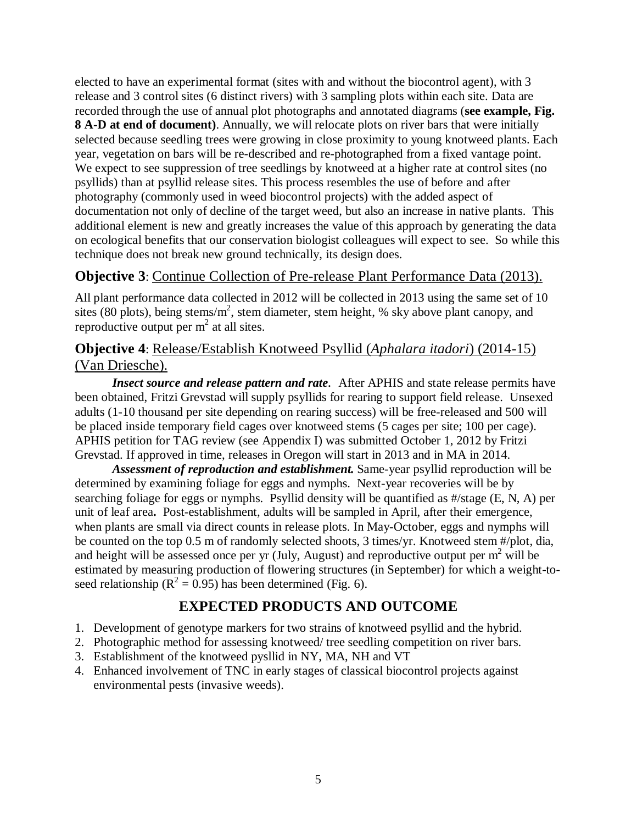elected to have an experimental format (sites with and without the biocontrol agent), with 3 release and 3 control sites (6 distinct rivers) with 3 sampling plots within each site. Data are recorded through the use of annual plot photographs and annotated diagrams (**see example, Fig. 8 A-D at end of document)**. Annually, we will relocate plots on river bars that were initially selected because seedling trees were growing in close proximity to young knotweed plants. Each year, vegetation on bars will be re-described and re-photographed from a fixed vantage point. We expect to see suppression of tree seedlings by knotweed at a higher rate at control sites (no psyllids) than at psyllid release sites. This process resembles the use of before and after photography (commonly used in weed biocontrol projects) with the added aspect of documentation not only of decline of the target weed, but also an increase in native plants. This additional element is new and greatly increases the value of this approach by generating the data on ecological benefits that our conservation biologist colleagues will expect to see. So while this technique does not break new ground technically, its design does.

## **Objective 3**: Continue Collection of Pre-release Plant Performance Data (2013).

All plant performance data collected in 2012 will be collected in 2013 using the same set of 10 sites (80 plots), being stems/ $m^2$ , stem diameter, stem height, % sky above plant canopy, and reproductive output per  $m^2$  at all sites.

# **Objective 4**: Release/Establish Knotweed Psyllid (*Aphalara itadori*) (2014-15) (Van Driesche).

*Insect source and release pattern and rate.* After APHIS and state release permits have been obtained, Fritzi Grevstad will supply psyllids for rearing to support field release. Unsexed adults (1-10 thousand per site depending on rearing success) will be free-released and 500 will be placed inside temporary field cages over knotweed stems (5 cages per site; 100 per cage). APHIS petition for TAG review (see Appendix I) was submitted October 1, 2012 by Fritzi Grevstad. If approved in time, releases in Oregon will start in 2013 and in MA in 2014.

*Assessment of reproduction and establishment.* Same-year psyllid reproduction will be determined by examining foliage for eggs and nymphs. Next-year recoveries will be by searching foliage for eggs or nymphs. Psyllid density will be quantified as #/stage (E, N, A) per unit of leaf area**.** Post-establishment, adults will be sampled in April, after their emergence, when plants are small via direct counts in release plots. In May-October, eggs and nymphs will be counted on the top 0.5 m of randomly selected shoots, 3 times/yr. Knotweed stem #/plot, dia, and height will be assessed once per yr (July, August) and reproductive output per  $m<sup>2</sup>$  will be estimated by measuring production of flowering structures (in September) for which a weight-toseed relationship ( $R^2 = 0.95$ ) has been determined (Fig. 6).

# **EXPECTED PRODUCTS AND OUTCOME**

- 1. Development of genotype markers for two strains of knotweed psyllid and the hybrid.
- 2. Photographic method for assessing knotweed/ tree seedling competition on river bars.
- 3. Establishment of the knotweed pysllid in NY, MA, NH and VT
- 4. Enhanced involvement of TNC in early stages of classical biocontrol projects against environmental pests (invasive weeds).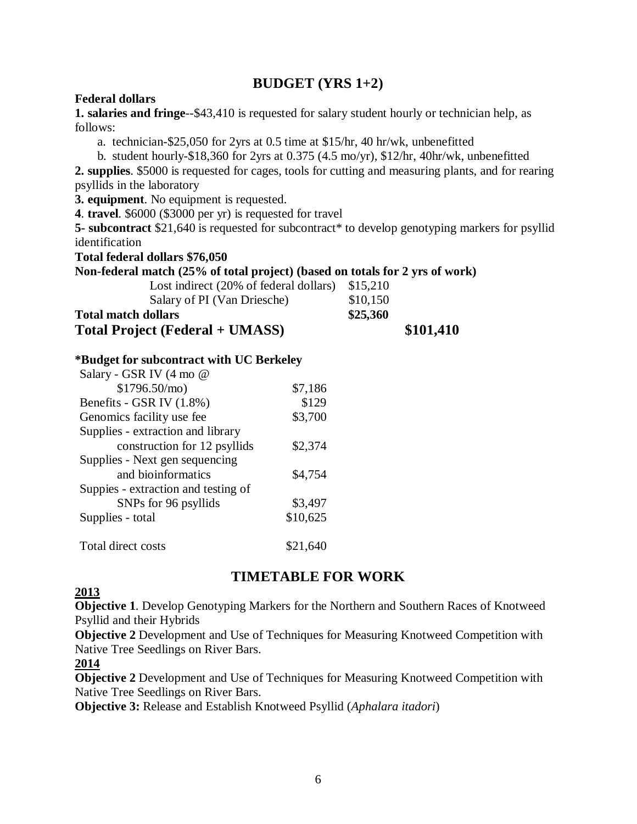## **BUDGET (YRS 1+2)**

#### **Federal dollars**

**1. salaries and fringe**--\$43,410 is requested for salary student hourly or technician help, as follows:

a. technician-\$25,050 for 2yrs at 0.5 time at \$15/hr, 40 hr/wk, unbenefitted

b. student hourly-\$18,360 for 2yrs at 0.375 (4.5 mo/yr), \$12/hr, 40hr/wk, unbenefitted

**2. supplies**. \$5000 is requested for cages, tools for cutting and measuring plants, and for rearing psyllids in the laboratory

**3. equipment**. No equipment is requested.

**4**. **travel**. \$6000 (\$3000 per yr) is requested for travel

**5-** subcontract \$21,640 is requested for subcontract\* to develop genotyping markers for psyllid identification

**Total federal dollars \$76,050**

#### **Non-federal match (25% of total project) (based on totals for 2 yrs of work)**

| <b>Total Project (Federal + UMASS)</b> | \$101,410 |  |
|----------------------------------------|-----------|--|
| <b>Total match dollars</b>             | \$25,360  |  |
| Salary of PI (Van Driesche)            | \$10,150  |  |
| Lost indirect (20% of federal dollars) | \$15,210  |  |
|                                        |           |  |

#### **\*Budget for subcontract with UC Berkeley**

| Salary - GSR IV (4 mo @             |          |
|-------------------------------------|----------|
| \$1796.50/mol                       | \$7,186  |
| Benefits - GSR IV (1.8%)            | \$129    |
| Genomics facility use fee           | \$3,700  |
| Supplies - extraction and library   |          |
| construction for 12 psyllids        | \$2,374  |
| Supplies - Next gen sequencing      |          |
| and bioinformatics                  | \$4,754  |
| Suppies - extraction and testing of |          |
| SNPs for 96 psyllids                | \$3,497  |
| Supplies - total                    | \$10,625 |
| Total direct costs                  | \$21.64  |

# **TIMETABLE FOR WORK**

#### **2013**

**Objective 1**. Develop Genotyping Markers for the Northern and Southern Races of Knotweed Psyllid and their Hybrids

**Objective 2** Development and Use of Techniques for Measuring Knotweed Competition with Native Tree Seedlings on River Bars.

### **2014**

**Objective 2** Development and Use of Techniques for Measuring Knotweed Competition with Native Tree Seedlings on River Bars.

**Objective 3:** Release and Establish Knotweed Psyllid (*Aphalara itadori*)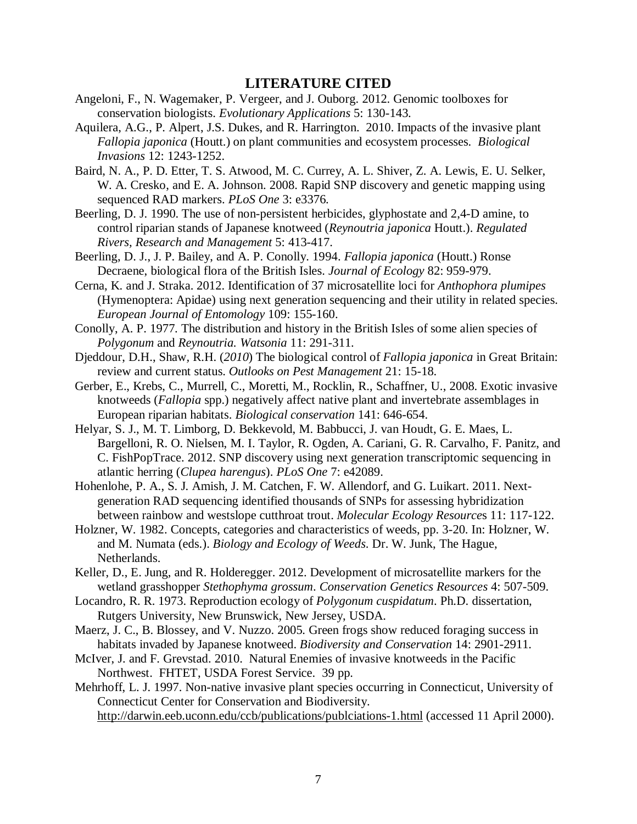#### **LITERATURE CITED**

- Angeloni, F., N. Wagemaker, P. Vergeer, and J. Ouborg. 2012. Genomic toolboxes for conservation biologists. *Evolutionary Applications* 5: 130-143.
- Aquilera, A.G., P. Alpert, J.S. Dukes, and R. Harrington. 2010. Impacts of the invasive plant *Fallopia japonica* (Houtt.) on plant communities and ecosystem processes. *Biological Invasions* 12: 1243-1252.
- Baird, N. A., P. D. Etter, T. S. Atwood, M. C. Currey, A. L. Shiver, Z. A. Lewis, E. U. Selker, W. A. Cresko, and E. A. Johnson. 2008. Rapid SNP discovery and genetic mapping using sequenced RAD markers. *PLoS One* 3: e3376.
- Beerling, D. J. 1990. The use of non-persistent herbicides, glyphostate and 2,4-D amine, to control riparian stands of Japanese knotweed (*Reynoutria japonica* Houtt.). *Regulated Rivers, Research and Management* 5: 413-417.
- Beerling, D. J., J. P. Bailey, and A. P. Conolly. 1994. *Fallopia japonica* (Houtt.) Ronse Decraene, biological flora of the British Isles. *Journal of Ecology* 82: 959-979.
- Cerna, K. and J. Straka. 2012. Identification of 37 microsatellite loci for *Anthophora plumipes*  (Hymenoptera: Apidae) using next generation sequencing and their utility in related species. *European Journal of Entomology* 109: 155-160.
- Conolly, A. P. 1977. The distribution and history in the British Isles of some alien species of *Polygonum* and *Reynoutria. Watsonia* 11: 291-311.
- Djeddour, D.H., Shaw*,* R.H. (*2010*) The biological control of *Fallopia japonica* in Great Britain: review and current status. *Outlooks on Pest Management* 21: 15-18.
- Gerber, E., Krebs, C., Murrell, C., Moretti, M., Rocklin, R., Schaffner, U., 2008. Exotic invasive knotweeds (*Fallopia* spp.) negatively affect native plant and invertebrate assemblages in European riparian habitats. *Biological conservation* 141: 646-654.
- Helyar, S. J., M. T. Limborg, D. Bekkevold, M. Babbucci, J. van Houdt, G. E. Maes, L. Bargelloni, R. O. Nielsen, M. I. Taylor, R. Ogden, A. Cariani, G. R. Carvalho, F. Panitz, and C. FishPopTrace. 2012. SNP discovery using next generation transcriptomic sequencing in atlantic herring (*Clupea harengus*). *PLoS One* 7: e42089.
- Hohenlohe, P. A., S. J. Amish, J. M. Catchen, F. W. Allendorf, and G. Luikart. 2011. Nextgeneration RAD sequencing identified thousands of SNPs for assessing hybridization between rainbow and westslope cutthroat trout. *Molecular Ecology Resource*s 11: 117-122.
- Holzner, W. 1982. Concepts, categories and characteristics of weeds, pp. 3-20. In: Holzner, W. and M. Numata (eds.). *Biology and Ecology of Weeds*. Dr. W. Junk, The Hague, Netherlands.
- Keller, D., E. Jung, and R. Holderegger. 2012. Development of microsatellite markers for the wetland grasshopper *Stethophyma grossum*. *Conservation Genetics Resources* 4: 507-509.
- Locandro, R. R. 1973. Reproduction ecology of *Polygonum cuspidatum*. Ph.D. dissertation, Rutgers University, New Brunswick, New Jersey, USDA.
- Maerz, J. C., B. Blossey, and V. Nuzzo. 2005. Green frogs show reduced foraging success in habitats invaded by Japanese knotweed. *Biodiversity and Conservation* 14: 2901-2911.
- McIver, J. and F. Grevstad. 2010. Natural Enemies of invasive knotweeds in the Pacific Northwest. FHTET, USDA Forest Service. 39 pp.
- Mehrhoff, L. J. 1997. Non-native invasive plant species occurring in Connecticut, University of Connecticut Center for Conservation and Biodiversity. <http://darwin.eeb.uconn.edu/ccb/publications/publciations-1.html> (accessed 11 April 2000).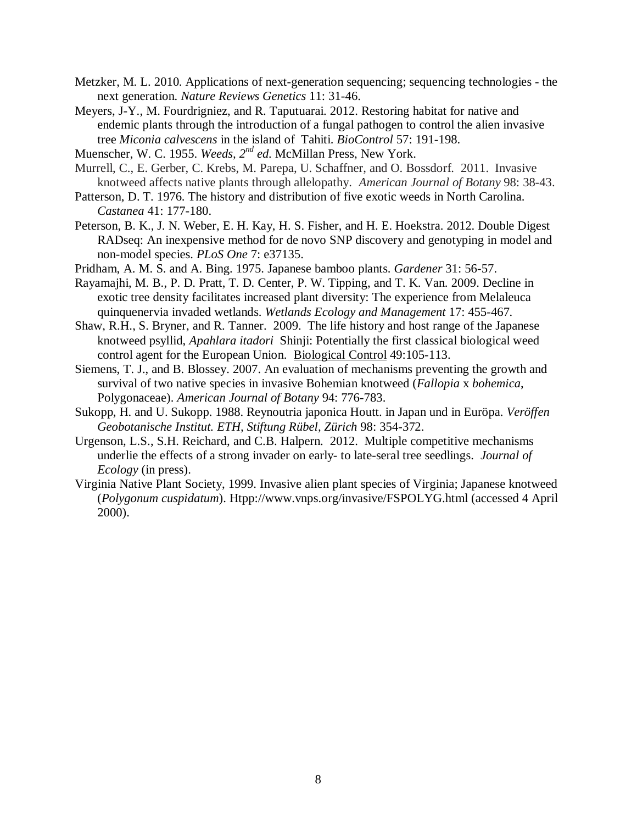- Metzker, M. L. 2010. Applications of next-generation sequencing; sequencing technologies the next generation. *Nature Reviews Genetics* 11: 31-46.
- Meyers, J-Y., M. Fourdrigniez, and R. Taputuarai. 2012. Restoring habitat for native and endemic plants through the introduction of a fungal pathogen to control the alien invasive tree *Miconia calvescens* in the island of Tahiti. *BioControl* 57: 191-198.
- Muenscher, W. C. 1955. *Weeds, 2nd ed.* McMillan Press, New York.
- Murrell, C., E. Gerber, C. Krebs, M. Parepa, U. Schaffner, and O. Bossdorf. 2011. Invasive knotweed affects native plants through allelopathy. *American Journal of Botany* 98: 38-43.
- Patterson, D. T. 1976. The history and distribution of five exotic weeds in North Carolina. *Castanea* 41: 177-180.
- Peterson, B. K., J. N. Weber, E. H. Kay, H. S. Fisher, and H. E. Hoekstra. 2012. Double Digest RADseq: An inexpensive method for de novo SNP discovery and genotyping in model and non-model species. *PLoS One* 7: e37135.
- Pridham, A. M. S. and A. Bing. 1975. Japanese bamboo plants. *Gardener* 31: 56-57.
- Rayamajhi, M. B., P. D. Pratt, T. D. Center, P. W. Tipping, and T. K. Van. 2009. Decline in exotic tree density facilitates increased plant diversity: The experience from Melaleuca quinquenervia invaded wetlands. *Wetlands Ecology and Management* 17: 455-467.
- Shaw, R.H., S. Bryner, and R. Tanner. 2009. The life history and host range of the Japanese knotweed psyllid, *Apahlara itadori* Shinji: Potentially the first classical biological weed control agent for the European Union. Biological Control 49:105-113.
- Siemens, T. J., and B. Blossey. 2007. An evaluation of mechanisms preventing the growth and survival of two native species in invasive Bohemian knotweed (*Fallopia* x *bohemica*, Polygonaceae). *American Journal of Botany* 94: 776-783.
- Sukopp, H. and U. Sukopp. 1988. Reynoutria japonica Houtt. in Japan und in Euröpa. *Veröffen Geobotanische Institut. ETH, Stiftung Rübel, Zürich* 98: 354-372.
- Urgenson, L.S., S.H. Reichard, and C.B. Halpern. 2012. Multiple competitive mechanisms underlie the effects of a strong invader on early- to late-seral tree seedlings. *Journal of Ecology* (in press).
- Virginia Native Plant Society, 1999. Invasive alien plant species of Virginia; Japanese knotweed (*Polygonum cuspidatum*). Htpp://www.vnps.org/invasive/FSPOLYG.html (accessed 4 April 2000).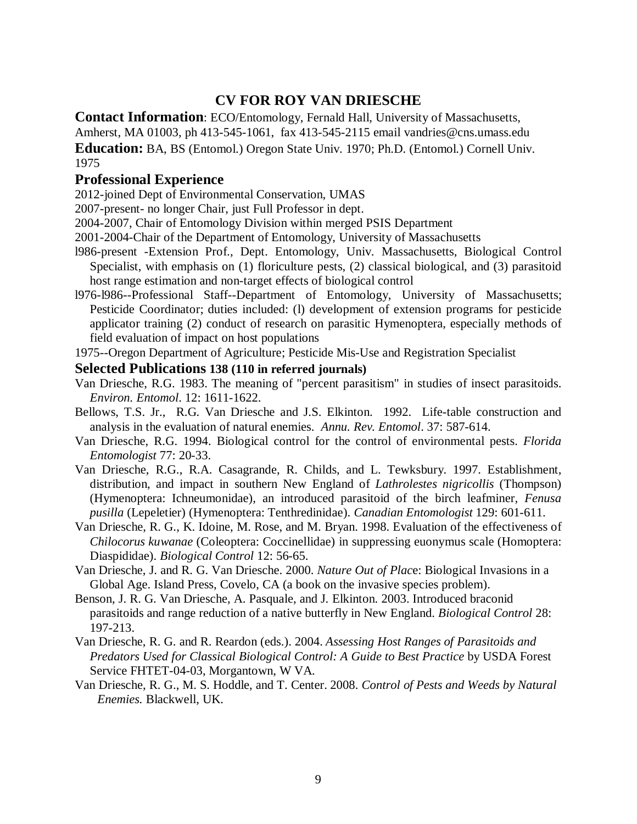# **CV FOR ROY VAN DRIESCHE**

**Contact Information**: ECO/Entomology, Fernald Hall, University of Massachusetts,

Amherst, MA 01003, ph 413-545-1061, fax 413-545-2115 email vandries@cns.umass.edu

**Education:** BA, BS (Entomol.) Oregon State Univ. 1970; Ph.D. (Entomol.) Cornell Univ. 1975

## **Professional Experience**

2012-joined Dept of Environmental Conservation, UMAS

2007-present- no longer Chair, just Full Professor in dept.

2004-2007, Chair of Entomology Division within merged PSIS Department

- 2001-2004-Chair of the Department of Entomology, University of Massachusetts
- l986-present -Extension Prof., Dept. Entomology, Univ. Massachusetts, Biological Control Specialist, with emphasis on (1) floriculture pests, (2) classical biological, and (3) parasitoid host range estimation and non-target effects of biological control
- l976-l986--Professional Staff--Department of Entomology, University of Massachusetts; Pesticide Coordinator; duties included: (l) development of extension programs for pesticide applicator training (2) conduct of research on parasitic Hymenoptera, especially methods of field evaluation of impact on host populations

1975--Oregon Department of Agriculture; Pesticide Mis-Use and Registration Specialist

#### **Selected Publications 138 (110 in referred journals)**

- Van Driesche, R.G. 1983. The meaning of "percent parasitism" in studies of insect parasitoids. *Environ. Entomol*. 12: 1611-1622.
- Bellows, T.S. Jr., R.G. Van Driesche and J.S. Elkinton. 1992. Life-table construction and analysis in the evaluation of natural enemies. *Annu. Rev. Entomol*. 37: 587-614.
- Van Driesche, R.G. 1994. Biological control for the control of environmental pests. *Florida Entomologist* 77: 20-33.
- Van Driesche, R.G., R.A. Casagrande, R. Childs, and L. Tewksbury. 1997. Establishment, distribution, and impact in southern New England of *Lathrolestes nigricollis* (Thompson) (Hymenoptera: Ichneumonidae), an introduced parasitoid of the birch leafminer*, Fenusa pusilla* (Lepeletier) (Hymenoptera: Tenthredinidae). *Canadian Entomologist* 129: 601-611.
- Van Driesche, R. G., K. Idoine, M. Rose, and M. Bryan. 1998. Evaluation of the effectiveness of *Chilocorus kuwanae* (Coleoptera: Coccinellidae) in suppressing euonymus scale (Homoptera: Diaspididae). *Biological Control* 12: 56-65.
- Van Driesche, J. and R. G. Van Driesche. 2000. *Nature Out of Plac*e: Biological Invasions in a Global Age. Island Press, Covelo, CA (a book on the invasive species problem).
- Benson, J. R. G. Van Driesche, A. Pasquale, and J. Elkinton. 2003. Introduced braconid parasitoids and range reduction of a native butterfly in New England. *Biological Control* 28: 197-213.
- Van Driesche, R. G. and R. Reardon (eds.). 2004. *Assessing Host Ranges of Parasitoids and Predators Used for Classical Biological Control: A Guide to Best Practice* by USDA Forest Service FHTET-04-03, Morgantown, W VA.
- Van Driesche, R. G., M. S. Hoddle, and T. Center. 2008. *Control of Pests and Weeds by Natural Enemies.* Blackwell, UK.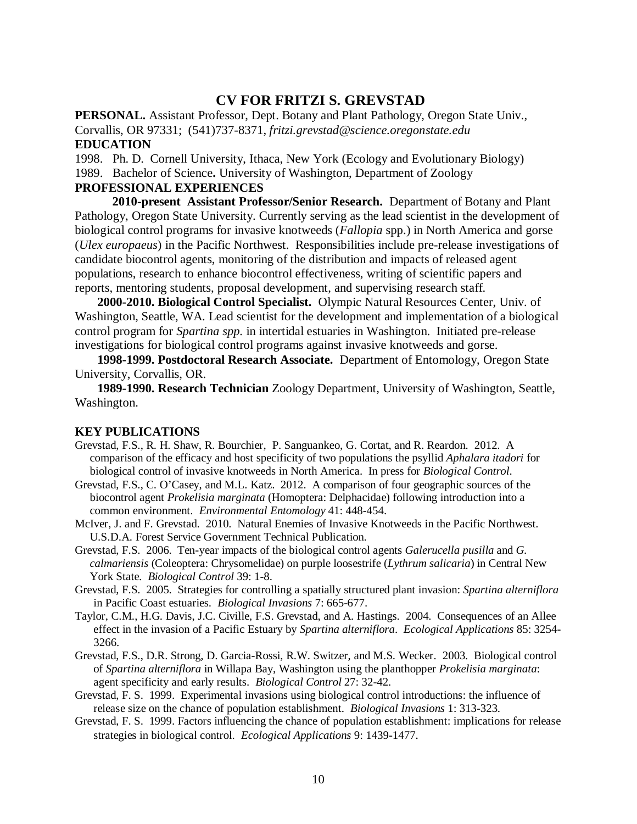## **CV FOR FRITZI S. GREVSTAD**

**PERSONAL.** Assistant Professor, Dept. Botany and Plant Pathology, Oregon State Univ., Corvallis, OR 97331; (541)737-8371, *fritzi.grevstad@science.oregonstate.edu* **EDUCATION**

1998. Ph. D. Cornell University, Ithaca, New York (Ecology and Evolutionary Biology) 1989. Bachelor of Science**.** University of Washington, Department of Zoology

#### **PROFESSIONAL EXPERIENCES**

**2010-present Assistant Professor/Senior Research.** Department of Botany and Plant Pathology, Oregon State University. Currently serving as the lead scientist in the development of biological control programs for invasive knotweeds (*Fallopia* spp.) in North America and gorse (*Ulex europaeus*) in the Pacific Northwest. Responsibilities include pre-release investigations of candidate biocontrol agents, monitoring of the distribution and impacts of released agent populations, research to enhance biocontrol effectiveness, writing of scientific papers and reports, mentoring students, proposal development, and supervising research staff.

**2000-2010. Biological Control Specialist.** Olympic Natural Resources Center, Univ. of Washington, Seattle, WA. Lead scientist for the development and implementation of a biological control program for *Spartina spp.* in intertidal estuaries in Washington. Initiated pre-release investigations for biological control programs against invasive knotweeds and gorse.

**1998-1999. Postdoctoral Research Associate.** Department of Entomology, Oregon State University, Corvallis, OR.

**1989-1990. Research Technician** Zoology Department, University of Washington, Seattle, Washington.

#### **KEY PUBLICATIONS**

- Grevstad, F.S., R. H. Shaw, R. Bourchier, P. Sanguankeo, G. Cortat, and R. Reardon. 2012. A comparison of the efficacy and host specificity of two populations the psyllid *Aphalara itadori* for biological control of invasive knotweeds in North America. In press for *Biological Control*.
- Grevstad, F.S., C. O'Casey, and M.L. Katz. 2012. A comparison of four geographic sources of the biocontrol agent *Prokelisia marginata* (Homoptera: Delphacidae) following introduction into a common environment. *Environmental Entomology* 41: 448-454.
- McIver, J. and F. Grevstad. 2010. Natural Enemies of Invasive Knotweeds in the Pacific Northwest. U.S.D.A. Forest Service Government Technical Publication.
- Grevstad, F.S. 2006. Ten-year impacts of the biological control agents *Galerucella pusilla* and *G. calmariensis* (Coleoptera: Chrysomelidae) on purple loosestrife (*Lythrum salicaria*) in Central New York State. *Biological Control* 39: 1-8.
- Grevstad, F.S. 2005. Strategies for controlling a spatially structured plant invasion: *Spartina alterniflora* in Pacific Coast estuaries. *Biological Invasions* 7: 665-677.
- Taylor, C.M., H.G. Davis, J.C. Civille, F.S. Grevstad, and A. Hastings. 2004. Consequences of an Allee effect in the invasion of a Pacific Estuary by *Spartina alterniflora*. *Ecological Applications* 85: 3254- 3266.
- Grevstad, F.S., D.R. Strong, D. Garcia-Rossi, R.W. Switzer, and M.S. Wecker. 2003. Biological control of *Spartina alterniflora* in Willapa Bay, Washington using the planthopper *Prokelisia marginata*: agent specificity and early results. *Biological Control* 27: 32-42.
- Grevstad, F. S. 1999. Experimental invasions using biological control introductions: the influence of release size on the chance of population establishment. *Biological Invasions* 1: 313-323.
- Grevstad, F. S. 1999. Factors influencing the chance of population establishment: implications for release strategies in biological control. *Ecological Applications* 9: 1439-1477.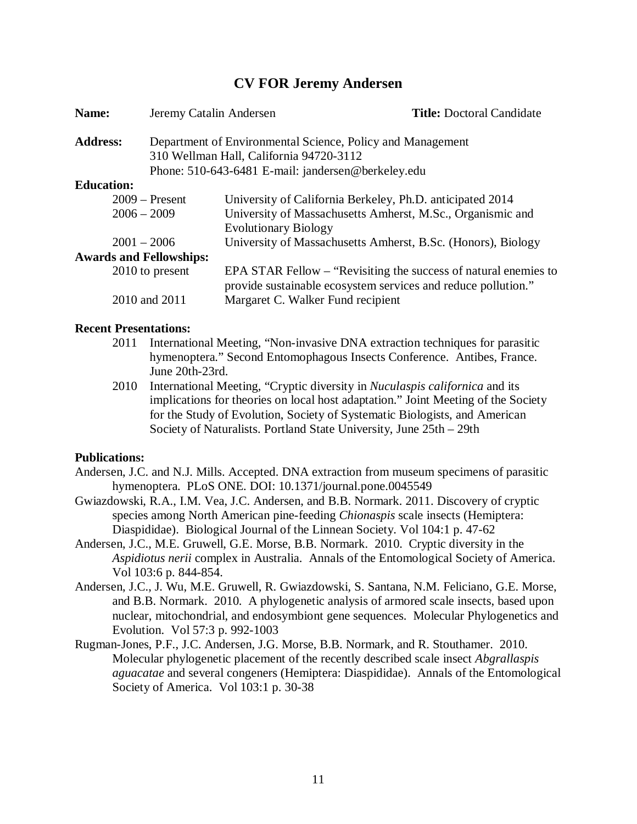## **CV FOR Jeremy Andersen**

| Name:                          | Jeremy Catalin Andersen                                                                               |                                                                                                                                  | <b>Title: Doctoral Candidate</b> |
|--------------------------------|-------------------------------------------------------------------------------------------------------|----------------------------------------------------------------------------------------------------------------------------------|----------------------------------|
| <b>Address:</b>                | Department of Environmental Science, Policy and Management<br>310 Wellman Hall, California 94720-3112 |                                                                                                                                  |                                  |
|                                | Phone: 510-643-6481 E-mail: jandersen@berkeley.edu                                                    |                                                                                                                                  |                                  |
| <b>Education:</b>              |                                                                                                       |                                                                                                                                  |                                  |
|                                | $2009 -$ Present                                                                                      | University of California Berkeley, Ph.D. anticipated 2014                                                                        |                                  |
| $2006 - 2009$                  |                                                                                                       | University of Massachusetts Amherst, M.Sc., Organismic and                                                                       |                                  |
|                                |                                                                                                       | <b>Evolutionary Biology</b>                                                                                                      |                                  |
| $2001 - 2006$                  |                                                                                                       | University of Massachusetts Amherst, B.Sc. (Honors), Biology                                                                     |                                  |
| <b>Awards and Fellowships:</b> |                                                                                                       |                                                                                                                                  |                                  |
|                                | 2010 to present                                                                                       | EPA STAR Fellow – "Revisiting the success of natural enemies to<br>provide sustainable ecosystem services and reduce pollution." |                                  |
|                                | 2010 and 2011                                                                                         | Margaret C. Walker Fund recipient                                                                                                |                                  |

#### **Recent Presentations:**

- 2011 International Meeting, "Non-invasive DNA extraction techniques for parasitic hymenoptera." Second Entomophagous Insects Conference. Antibes, France. June 20th-23rd.
- 2010 International Meeting, "Cryptic diversity in *Nuculaspis californica* and its implications for theories on local host adaptation." Joint Meeting of the Society for the Study of Evolution, Society of Systematic Biologists, and American Society of Naturalists. Portland State University, June 25th – 29th

#### **Publications:**

- Andersen, J.C. and N.J. Mills. Accepted. DNA extraction from museum specimens of parasitic hymenoptera. PLoS ONE. DOI: 10.1371/journal.pone.0045549
- Gwiazdowski, R.A., I.M. Vea, J.C. Andersen, and B.B. Normark. 2011. Discovery of cryptic species among North American pine-feeding *Chionaspis* scale insects (Hemiptera: Diaspididae). Biological Journal of the Linnean Society. Vol 104:1 p. 47-62
- Andersen, J.C., M.E. Gruwell, G.E. Morse, B.B. Normark. 2010. Cryptic diversity in the *Aspidiotus nerii* complex in Australia. Annals of the Entomological Society of America. Vol 103:6 p. 844-854.
- Andersen, J.C., J. Wu, M.E. Gruwell, R. Gwiazdowski, S. Santana, N.M. Feliciano, G.E. Morse, and B.B. Normark. 2010. A phylogenetic analysis of armored scale insects, based upon nuclear, mitochondrial, and endosymbiont gene sequences. Molecular Phylogenetics and Evolution. Vol 57:3 p. 992-1003
- Rugman-Jones, P.F., J.C. Andersen, J.G. Morse, B.B. Normark, and R. Stouthamer. 2010. Molecular phylogenetic placement of the recently described scale insect *Abgrallaspis aguacatae* and several congeners (Hemiptera: Diaspididae). Annals of the Entomological Society of America. Vol 103:1 p. 30-38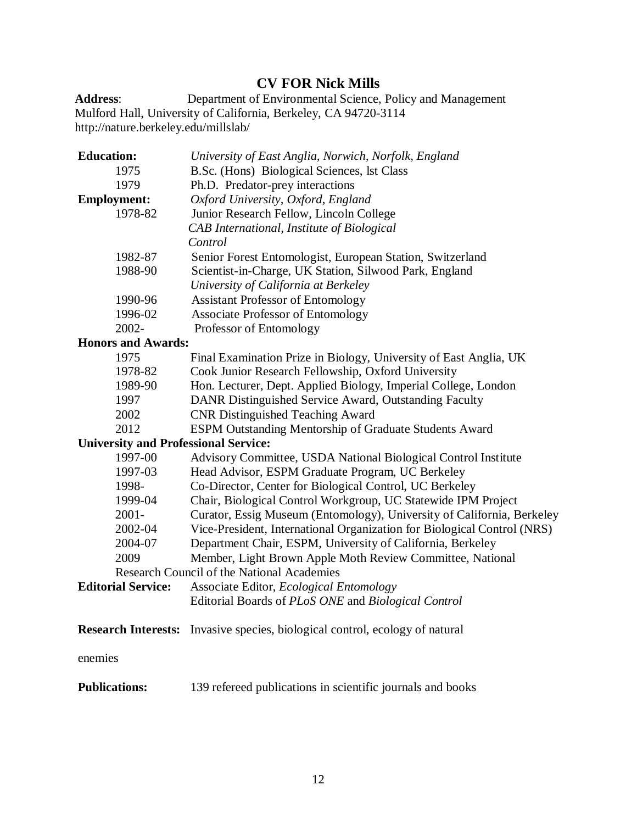# **CV FOR Nick Mills**

**Address**: Department of Environmental Science, Policy and Management Mulford Hall, University of California, Berkeley, CA 94720-311[4](http://nature.berkeley.edu/millslab/) <http://nature.berkeley.edu/millslab/>

| <b>Education:</b>                           | University of East Anglia, Norwich, Norfolk, England                                |  |
|---------------------------------------------|-------------------------------------------------------------------------------------|--|
| 1975                                        | B.Sc. (Hons) Biological Sciences, lst Class                                         |  |
| 1979                                        | Ph.D. Predator-prey interactions                                                    |  |
| <b>Employment:</b>                          | Oxford University, Oxford, England                                                  |  |
| 1978-82                                     | Junior Research Fellow, Lincoln College                                             |  |
|                                             | CAB International, Institute of Biological                                          |  |
|                                             | Control                                                                             |  |
| 1982-87                                     | Senior Forest Entomologist, European Station, Switzerland                           |  |
| 1988-90                                     | Scientist-in-Charge, UK Station, Silwood Park, England                              |  |
|                                             | University of California at Berkeley                                                |  |
| 1990-96                                     | <b>Assistant Professor of Entomology</b>                                            |  |
| 1996-02                                     | <b>Associate Professor of Entomology</b>                                            |  |
| 2002-                                       | Professor of Entomology                                                             |  |
| <b>Honors and Awards:</b>                   |                                                                                     |  |
| 1975                                        | Final Examination Prize in Biology, University of East Anglia, UK                   |  |
| 1978-82                                     | Cook Junior Research Fellowship, Oxford University                                  |  |
| 1989-90                                     | Hon. Lecturer, Dept. Applied Biology, Imperial College, London                      |  |
| 1997                                        | DANR Distinguished Service Award, Outstanding Faculty                               |  |
| 2002                                        | <b>CNR Distinguished Teaching Award</b>                                             |  |
| 2012                                        | ESPM Outstanding Mentorship of Graduate Students Award                              |  |
| <b>University and Professional Service:</b> |                                                                                     |  |
| 1997-00                                     | Advisory Committee, USDA National Biological Control Institute                      |  |
| 1997-03                                     | Head Advisor, ESPM Graduate Program, UC Berkeley                                    |  |
| 1998-                                       | Co-Director, Center for Biological Control, UC Berkeley                             |  |
| 1999-04                                     | Chair, Biological Control Workgroup, UC Statewide IPM Project                       |  |
| $2001 -$                                    | Curator, Essig Museum (Entomology), University of California, Berkeley              |  |
| 2002-04                                     | Vice-President, International Organization for Biological Control (NRS)             |  |
| 2004-07                                     | Department Chair, ESPM, University of California, Berkeley                          |  |
| 2009                                        | Member, Light Brown Apple Moth Review Committee, National                           |  |
|                                             | <b>Research Council of the National Academies</b>                                   |  |
| <b>Editorial Service:</b>                   | Associate Editor, <i>Ecological Entomology</i>                                      |  |
|                                             | Editorial Boards of PLoS ONE and Biological Control                                 |  |
|                                             | <b>Research Interests:</b> Invasive species, biological control, ecology of natural |  |
| enemies                                     |                                                                                     |  |
| <b>Publications:</b>                        | 139 refereed publications in scientific journals and books                          |  |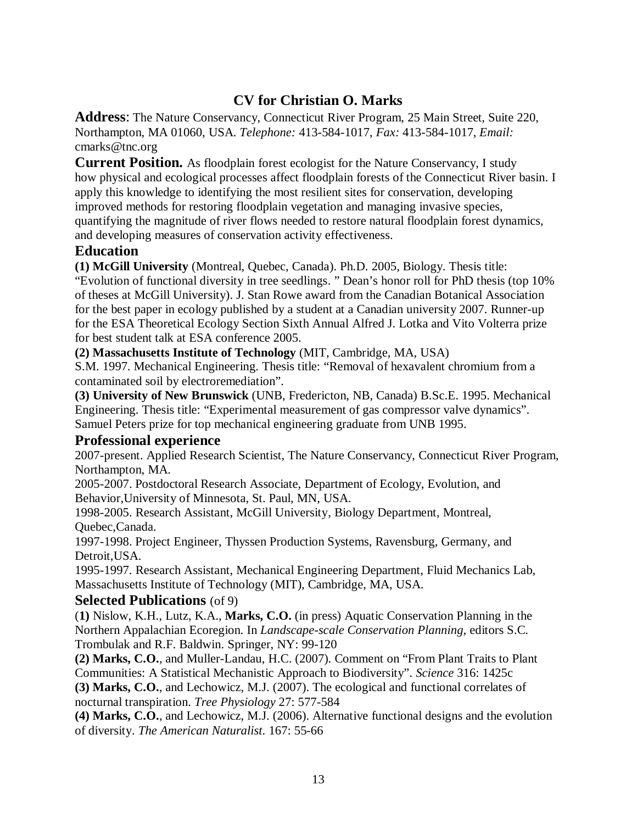# **CV for Christian O. Marks**

**Address**: The Nature Conservancy, Connecticut River Program, 25 Main Street, Suite 220, Northampton, MA 01060, USA. *Telephone:* 413-584-1017, *Fax:* 413-584-1017, *Email:*  cmarks@tnc.org

**Current Position.** As floodplain forest ecologist for the Nature Conservancy, I study how physical and ecological processes affect floodplain forests of the Connecticut River basin. I apply this knowledge to identifying the most resilient sites for conservation, developing improved methods for restoring floodplain vegetation and managing invasive species, quantifying the magnitude of river flows needed to restore natural floodplain forest dynamics, and developing measures of conservation activity effectiveness.

## **Education**

**(1) McGill University** (Montreal, Quebec, Canada). Ph.D. 2005, Biology. Thesis title: "Evolution of functional diversity in tree seedlings. " Dean's honor roll for PhD thesis (top 10% of theses at McGill University). J. Stan Rowe award from the Canadian Botanical Association for the best paper in ecology published by a student at a Canadian university 2007. Runner-up for the ESA Theoretical Ecology Section Sixth Annual Alfred J. Lotka and Vito Volterra prize for best student talk at ESA conference 2005.

**(2) Massachusetts Institute of Technology** (MIT, Cambridge, MA, USA)

S.M. 1997. Mechanical Engineering. Thesis title: "Removal of hexavalent chromium from a contaminated soil by electroremediation".

**(3) University of New Brunswick** (UNB, Fredericton, NB, Canada) B.Sc.E. 1995. Mechanical Engineering. Thesis title: "Experimental measurement of gas compressor valve dynamics". Samuel Peters prize for top mechanical engineering graduate from UNB 1995.

## **Professional experience**

2007-present. Applied Research Scientist, The Nature Conservancy, Connecticut River Program, Northampton, MA.

2005-2007. Postdoctoral Research Associate, Department of Ecology, Evolution, and Behavior,University of Minnesota, St. Paul, MN, USA.

1998-2005. Research Assistant, McGill University, Biology Department, Montreal, Quebec,Canada.

1997-1998. Project Engineer, Thyssen Production Systems, Ravensburg, Germany, and Detroit,USA.

1995-1997. Research Assistant, Mechanical Engineering Department, Fluid Mechanics Lab, Massachusetts Institute of Technology (MIT), Cambridge, MA, USA.

### **Selected Publications** (of 9)

(**1)** Nislow, K.H., Lutz, K.A., **Marks, C.O.** (in press) Aquatic Conservation Planning in the Northern Appalachian Ecoregion. In *Landscape-scale Conservation Planning*, editors S.C. Trombulak and R.F. Baldwin. Springer, NY: 99-120

**(2) Marks, C.O.**, and Muller-Landau, H.C. (2007). Comment on "From Plant Traits to Plant Communities: A Statistical Mechanistic Approach to Biodiversity". *Science* 316: 1425c

**(3) Marks, C.O.**, and Lechowicz, M.J. (2007). The ecological and functional correlates of nocturnal transpiration. *Tree Physiology* 27: 577-584

**(4) Marks, C.O.**, and Lechowicz, M.J. (2006). Alternative functional designs and the evolution of diversity. *The American Naturalist*. 167: 55-66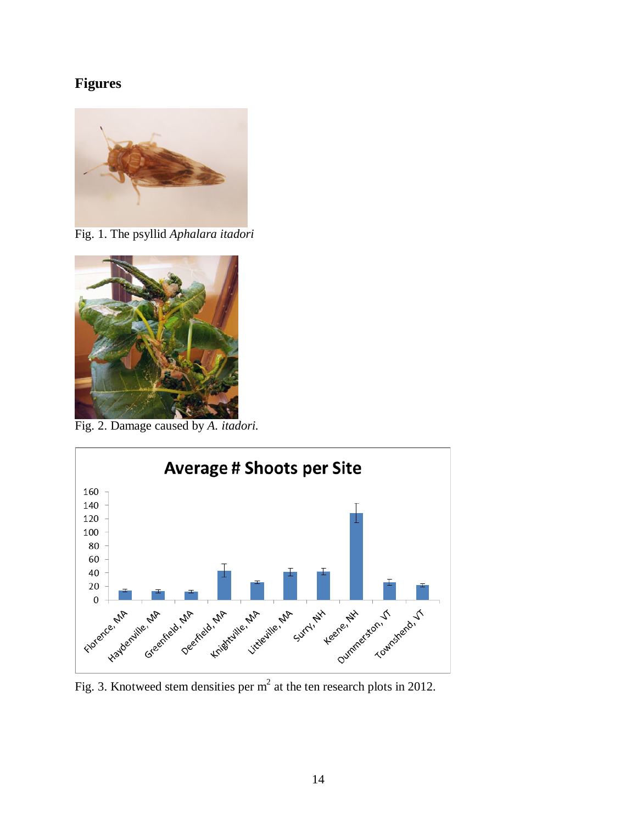# **Figures**



Fig. 1. The psyllid *Aphalara itadori*



Fig. 2. Damage caused by *A. itadori.*



Fig. 3. Knotweed stem densities per m<sup>2</sup> at the ten research plots in 2012.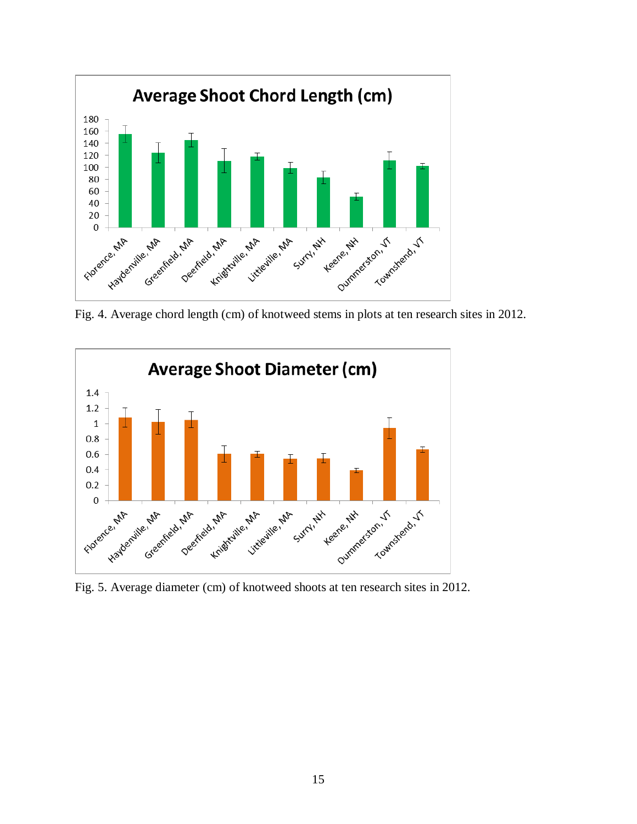

Fig. 4. Average chord length (cm) of knotweed stems in plots at ten research sites in 2012.



Fig. 5. Average diameter (cm) of knotweed shoots at ten research sites in 2012.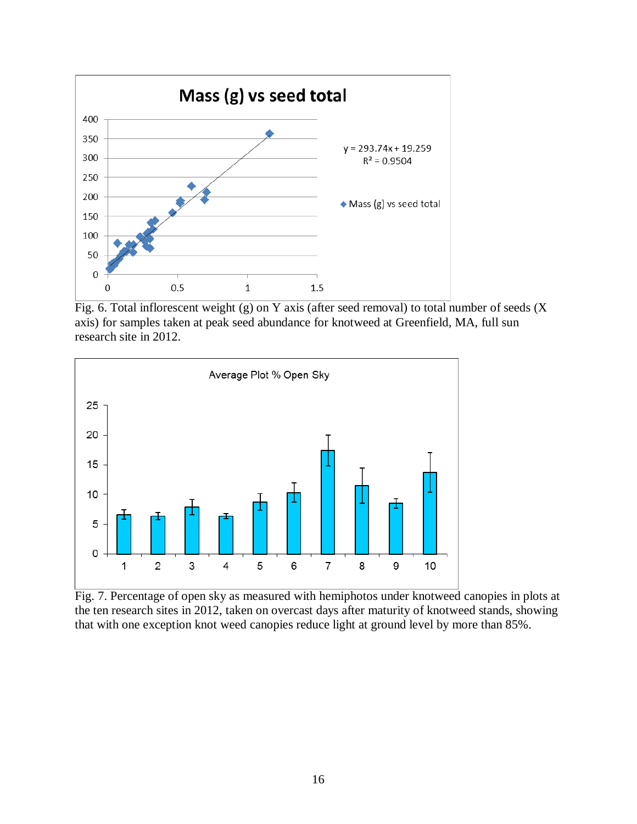

Fig. 6. Total inflorescent weight (g) on Y axis (after seed removal) to total number of seeds (X axis) for samples taken at peak seed abundance for knotweed at Greenfield, MA, full sun research site in 2012.



Fig. 7. Percentage of open sky as measured with hemiphotos under knotweed canopies in plots at the ten research sites in 2012, taken on overcast days after maturity of knotweed stands, showing that with one exception knot weed canopies reduce light at ground level by more than 85%.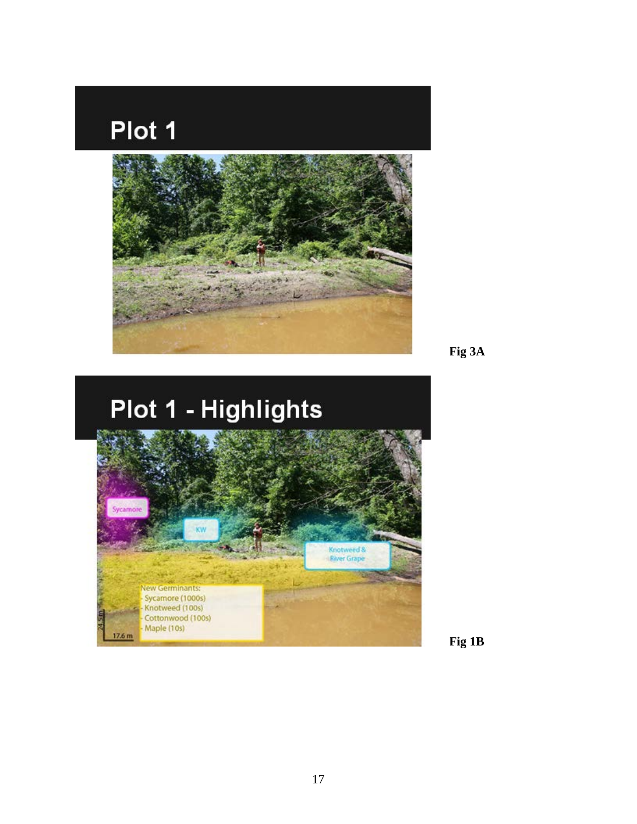# Plot 1



**Fig 3A**

# Plot 1 - Highlights



**Fig 1B**